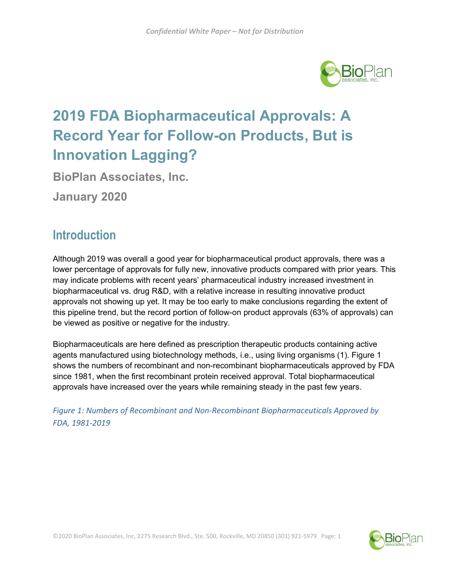

# **2019 FDA Biopharmaceutical Approvals: A Record Year for Follow-on Products, But is Innovation Lagging?**

**BioPlan Associates, Inc.**

**January 2020**

# **Introduction**

Although 2019 was overall a good year for biopharmaceutical product approvals, there was a lower percentage of approvals for fully new, innovative products compared with prior years. This may indicate problems with recent years' pharmaceutical industry increased investment in biopharmaceutical vs. drug R&D, with a relative increase in resulting innovative product approvals not showing up yet. It may be too early to make conclusions regarding the extent of this pipeline trend, but the record portion of follow-on product approvals (63% of approvals) can be viewed as positive or negative for the industry.

Biopharmaceuticals are here defined as prescription therapeutic products containing active agents manufactured using biotechnology methods, i.e., using living organisms (1). Figure 1 shows the numbers of recombinant and non-recombinant biopharmaceuticals approved by FDA since 1981, when the first recombinant protein received approval. Total biopharmaceutical approvals have increased over the years while remaining steady in the past few years.

*Figure 1: Numbers of Recombinant and Non-Recombinant Biopharmaceuticals Approved by FDA, 1981-2019*

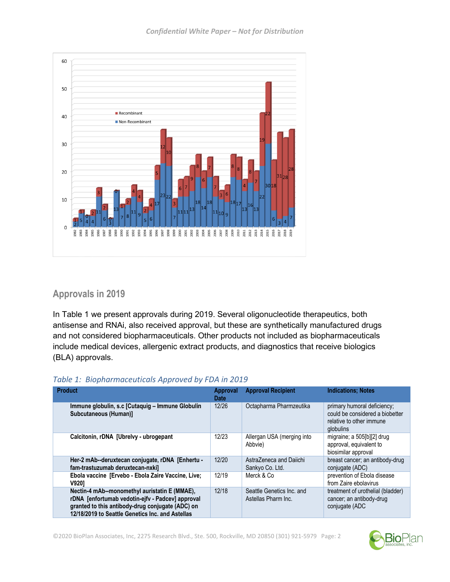

## **Approvals in 2019**

In Table 1 we present approvals during 2019. Several oligonucleotide therapeutics, both antisense and RNAi, also received approval, but these are synthetically manufactured drugs and not considered biopharmaceuticals. Other products not included as biopharmaceuticals include medical devices, allergenic extract products, and diagnostics that receive biologics (BLA) approvals.

| <b>Product</b>                                                                                                                                                                                            | <b>Approval</b><br><b>Date</b> | <b>Approval Recipient</b>                        | <b>Indications: Notes</b>                                                                               |
|-----------------------------------------------------------------------------------------------------------------------------------------------------------------------------------------------------------|--------------------------------|--------------------------------------------------|---------------------------------------------------------------------------------------------------------|
| Immune globulin, s.c [Cutaquig – Immune Globulin<br>Subcutaneous (Human)]                                                                                                                                 | 12/26                          | Octapharma Pharmzeutika                          | primary humoral deficiency;<br>could be considered a biobetter<br>relative to other immune<br>globulins |
| Calcitonin, rDNA [Ubrelvy - ubrogepant                                                                                                                                                                    | 12/23                          | Allergan USA (merging into<br>Abbvie)            | migraine; a 505[b][2] drug<br>approval, equivalent to<br>biosimilar approval                            |
| Her-2 mAb--deruxtecan conjugate, rDNA [Enhertu -<br>fam-trastuzumab deruxtecan-nxkil                                                                                                                      | 12/20                          | AstraZeneca and Daiichi<br>Sankyo Co. Ltd.       | breast cancer; an antibody-drug<br>conjugate (ADC)                                                      |
| Ebola vaccine [Ervebo - Ebola Zaire Vaccine, Live;<br>V9201                                                                                                                                               | 12/19                          | Merck & Co                                       | prevention of Ebola disease<br>from Zaire ebolavirus                                                    |
| Nectin-4 mAb--monomethyl auristatin E (MMAE),<br>rDNA [enfortumab vedotin-ejfv - Padcev] approval<br>granted to this antibody-drug conjugate (ADC) on<br>12/18/2019 to Seattle Genetics Inc. and Astellas | 12/18                          | Seattle Genetics Inc. and<br>Astellas Pharm Inc. | treatment of urothelial (bladder)<br>cancer; an antibody-drug<br>conjugate (ADC                         |

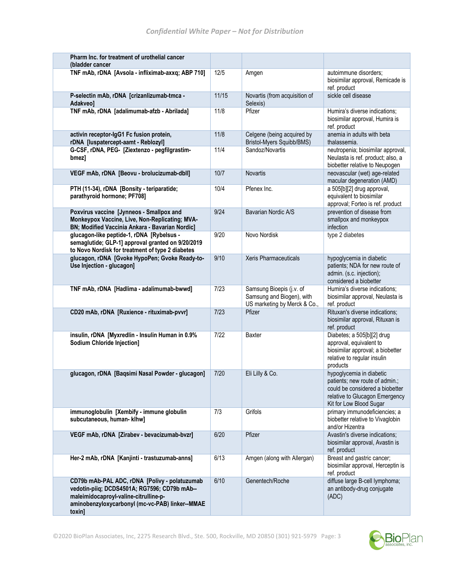| Pharm Inc. for treatment of urothelial cancer<br>(bladder cancer                                                                                                                                    |       |                                                                                       |                                                                                                                                                            |
|-----------------------------------------------------------------------------------------------------------------------------------------------------------------------------------------------------|-------|---------------------------------------------------------------------------------------|------------------------------------------------------------------------------------------------------------------------------------------------------------|
| TNF mAb, rDNA [Avsola - infliximab-axxq; ABP 710]                                                                                                                                                   | 12/5  | Amgen                                                                                 | autoimmune disorders;                                                                                                                                      |
|                                                                                                                                                                                                     |       |                                                                                       | biosimilar approval, Remicade is<br>ref. product                                                                                                           |
| P-selectin mAb, rDNA [crizanlizumab-tmca -<br><b>Adakveol</b>                                                                                                                                       | 11/15 | Novartis (from acquisition of<br>Selexis)                                             | sickle cell disease                                                                                                                                        |
| TNF mAb, rDNA [adalimumab-afzb - Abrilada]                                                                                                                                                          | 11/8  | Pfizer                                                                                | Humira's diverse indications;<br>biosimilar approval, Humira is<br>ref. product                                                                            |
| activin receptor-IgG1 Fc fusion protein,<br>rDNA [luspatercept-aamt - Reblozyl]                                                                                                                     | 11/8  | Celgene (being acquired by<br>Bristol-Myers Squibb/BMS)                               | anemia in adults with beta<br>thalassemia.                                                                                                                 |
| G-CSF, rDNA, PEG- [Ziextenzo - pegfilgrastim-<br>bmez]                                                                                                                                              | 11/4  | Sandoz/Novartis                                                                       | neutropenia; biosimilar approval,<br>Neulasta is ref. product; also, a<br>biobetter relative to Neupogen                                                   |
| VEGF mAb, rDNA [Beovu - brolucizumab-dbll]                                                                                                                                                          | 10/7  | <b>Novartis</b>                                                                       | neovascular (wet) age-related<br>macular degeneration (AMD)                                                                                                |
| PTH (11-34), rDNA [Bonsity - teriparatide;<br>parathyroid hormone; PF708]                                                                                                                           | 10/4  | Pfenex Inc.                                                                           | a 505[b][2] drug approval,<br>equivalent to biosimilar<br>approval; Forteo is ref. product                                                                 |
| Poxvirus vaccine [Jynneos - Smallpox and<br>Monkeypox Vaccine, Live, Non-Replicating; MVA-<br>BN; Modified Vaccinia Ankara - Bavarian Nordic]                                                       | 9/24  | Bavarian Nordic A/S                                                                   | prevention of disease from<br>smallpox and monkeypox<br>infection                                                                                          |
| glucagon-like peptide-1, rDNA [Rybelsus -<br>semaglutide; GLP-1] approval granted on 9/20/2019<br>to Novo Nordisk for treatment of type 2 diabetes                                                  | 9/20  | Novo Nordisk                                                                          | type 2 diabetes                                                                                                                                            |
| glucagon, rDNA [Gvoke HypoPen; Gvoke Ready-to-<br>Use Injection - glucagon]                                                                                                                         | 9/10  | Xeris Pharmaceuticals                                                                 | hypoglycemia in diabetic<br>patients; NDA for new route of<br>admin. (s.c. injection);<br>considered a biobetter                                           |
| TNF mAb, rDNA [Hadlima - adalimumab-bwwd]                                                                                                                                                           | 7/23  | Samsung Bioepis (j.v. of<br>Samsung and Biogen), with<br>US marketing by Merck & Co., | Humira's diverse indications:<br>biosimilar approval, Neulasta is<br>ref. product                                                                          |
| CD20 mAb, rDNA [Ruxience - rituximab-pvvr]                                                                                                                                                          | 7/23  | Pfizer                                                                                | Rituxan's diverse indications;<br>biosimilar approval, Rituxan is<br>ref. product                                                                          |
| insulin, rDNA [Myxredlin - Insulin Human in 0.9%<br><b>Sodium Chloride Injection]</b>                                                                                                               | 7/22  | Baxter                                                                                | Diabetes; a 505[b][2] drug<br>approval, equivalent to<br>biosimilar approval; a biobetter<br>relative to regular insulin<br>products                       |
| glucagon, rDNA [Baqsimi Nasal Powder - glucagon]                                                                                                                                                    | 7/20  | Eli Lilly & Co.                                                                       | hypoglycemia in diabetic<br>patients; new route of admin.;<br>could be considered a biobetter<br>relative to Glucagon Emergency<br>Kit for Low Blood Sugar |
| immunoglobulin [Xembify - immune globulin<br>subcutaneous, human- klhw]                                                                                                                             | 7/3   | Grifols                                                                               | primary immunodeficiencies; a<br>biobetter relative to Vivaglobin<br>and/or Hizentra                                                                       |
| VEGF mAb, rDNA [Zirabev - bevacizumab-bvzr]                                                                                                                                                         | 6/20  | Pfizer                                                                                | Avastin's diverse indications;<br>biosimilar approval, Avastin is<br>ref. product                                                                          |
| Her-2 mAb, rDNA [Kanjinti - trastuzumab-anns]                                                                                                                                                       | 6/13  | Amgen (along with Allergan)                                                           | Breast and gastric cancer;<br>biosimilar approval, Herceptin is<br>ref. product                                                                            |
| CD79b mAb-PAL ADC, rDNA [Polivy - polatuzumab<br>vedotin-piiq; DCDS4501A; RG7596; CD79b mAb--<br>maleimidocaproyl-valine-citrulline-p-<br>aminobenzyloxycarbonyl (mc-vc-PAB) linker--MMAE<br>toxin] | 6/10  | Genentech/Roche                                                                       | diffuse large B-cell lymphoma;<br>an antibody-drug conjugate<br>(ADC)                                                                                      |

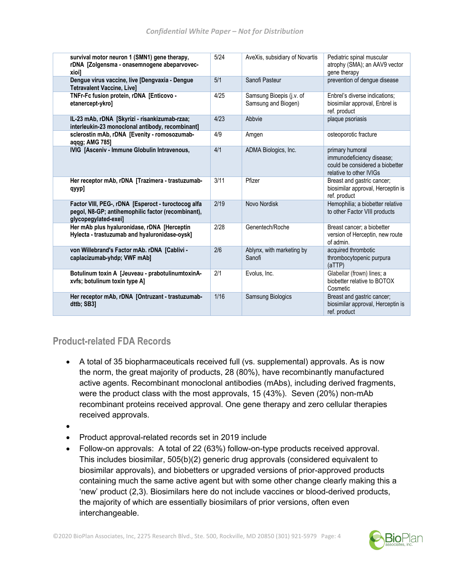| survival motor neuron 1 (SMN1) gene therapy,<br>rDNA [Zolgensma - onasemnogene abeparvovec-<br>xioi]                              | 5/24 | AveXis, subsidiary of Novartis                  | Pediatric spinal muscular<br>atrophy (SMA); an AAV9 vector<br>gene therapy                                 |
|-----------------------------------------------------------------------------------------------------------------------------------|------|-------------------------------------------------|------------------------------------------------------------------------------------------------------------|
| Dengue virus vaccine, live [Dengvaxia - Dengue<br><b>Tetravalent Vaccine, Live]</b>                                               | 5/1  | Sanofi Pasteur                                  | prevention of dengue disease                                                                               |
| TNFr-Fc fusion protein, rDNA [Enticovo -<br>etanercept-ykro]                                                                      | 4/25 | Samsung Bioepis (j.v. of<br>Samsung and Biogen) | Enbrel's diverse indications;<br>biosimilar approval, Enbrel is<br>ref. product                            |
| IL-23 mAb, rDNA [Skyrizi - risankizumab-rzaa;<br>interleukin-23 monoclonal antibody, recombinant]                                 | 4/23 | Abbvie                                          | plaque psoriasis                                                                                           |
| sclerostin mAb, rDNA [Evenity - romosozumab-<br>aqqg; AMG 785]                                                                    | 4/9  | Amgen                                           | osteoporotic fracture                                                                                      |
| IVIG [Asceniv - Immune Globulin Intravenous,                                                                                      | 4/1  | ADMA Biologics, Inc.                            | primary humoral<br>immunodeficiency disease;<br>could be considered a biobetter<br>relative to other IVIGs |
| Her receptor mAb, rDNA [Trazimera - trastuzumab-<br>qyyp]                                                                         | 3/11 | Pfizer                                          | Breast and gastric cancer;<br>biosimilar approval, Herceptin is<br>ref. product                            |
| Factor VIII, PEG-, rDNA [Esperoct - turoctocog alfa<br>pegol, N8-GP; antihemophilic factor (recombinant),<br>glycopegylated-exei] | 2/19 | Novo Nordisk                                    | Hemophilia; a biobetter relative<br>to other Factor VIII products                                          |
| Her mAb plus hyaluronidase, rDNA [Herceptin<br>Hylecta - trastuzumab and hyaluronidase-oysk]                                      | 2/28 | Genentech/Roche                                 | Breast cancer; a biobetter<br>version of Herceptin, new route<br>of admin.                                 |
| von Willebrand's Factor mAb. rDNA [Cablivi -<br>caplacizumab-yhdp; VWF mAb]                                                       | 2/6  | Ablynx, with marketing by<br>Sanofi             | acquired thrombotic<br>thrombocytopenic purpura<br>(aTTP)                                                  |
| Botulinum toxin A [Jeuveau - prabotulinumtoxinA-<br>xvfs; botulinum toxin type Al                                                 | 2/1  | Evolus, Inc.                                    | Glabellar (frown) lines; a<br>biobetter relative to BOTOX<br>Cosmetic                                      |
| Her receptor mAb, rDNA [Ontruzant - trastuzumab-<br>dttb; SB31                                                                    | 1/16 | Samsung Biologics                               | Breast and gastric cancer;<br>biosimilar approval, Herceptin is<br>ref. product                            |

## **Product-related FDA Records**

- A total of 35 biopharmaceuticals received full (vs. supplemental) approvals. As is now the norm, the great majority of products, 28 (80%), have recombinantly manufactured active agents. Recombinant monoclonal antibodies (mAbs), including derived fragments, were the product class with the most approvals, 15 (43%). Seven (20%) non-mAb recombinant proteins received approval. One gene therapy and zero cellular therapies received approvals.
- •
- Product approval-related records set in 2019 include
- Follow-on approvals: A total of 22 (63%) follow-on-type products received approval. This includes biosimilar, 505(b)(2) generic drug approvals (considered equivalent to biosimilar approvals), and biobetters or upgraded versions of prior-approved products containing much the same active agent but with some other change clearly making this a 'new' product (2,3). Biosimilars here do not include vaccines or blood-derived products, the majority of which are essentially biosimilars of prior versions, often even interchangeable.

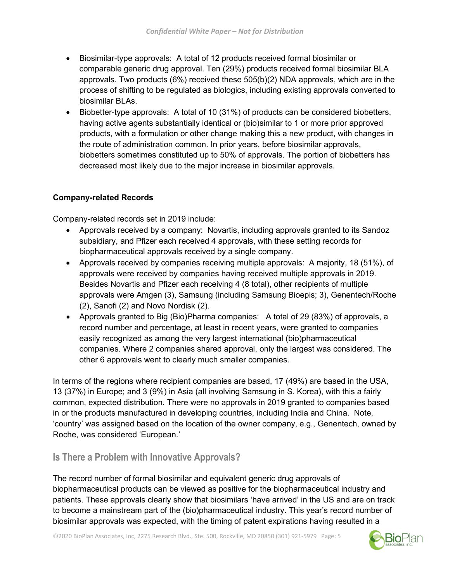- Biosimilar-type approvals: A total of 12 products received formal biosimilar or comparable generic drug approval. Ten (29%) products received formal biosimilar BLA approvals. Two products (6%) received these 505(b)(2) NDA approvals, which are in the process of shifting to be regulated as biologics, including existing approvals converted to biosimilar BLAs.
- Biobetter-type approvals: A total of 10 (31%) of products can be considered biobetters, having active agents substantially identical or (bio)similar to 1 or more prior approved products, with a formulation or other change making this a new product, with changes in the route of administration common. In prior years, before biosimilar approvals, biobetters sometimes constituted up to 50% of approvals. The portion of biobetters has decreased most likely due to the major increase in biosimilar approvals.

#### **Company-related Records**

Company-related records set in 2019 include:

- Approvals received by a company: Novartis, including approvals granted to its Sandoz subsidiary, and Pfizer each received 4 approvals, with these setting records for biopharmaceutical approvals received by a single company.
- Approvals received by companies receiving multiple approvals: A majority, 18 (51%), of approvals were received by companies having received multiple approvals in 2019. Besides Novartis and Pfizer each receiving 4 (8 total), other recipients of multiple approvals were Amgen (3), Samsung (including Samsung Bioepis; 3), Genentech/Roche (2), Sanofi (2) and Novo Nordisk (2).
- Approvals granted to Big (Bio)Pharma companies: A total of 29 (83%) of approvals, a record number and percentage, at least in recent years, were granted to companies easily recognized as among the very largest international (bio)pharmaceutical companies. Where 2 companies shared approval, only the largest was considered. The other 6 approvals went to clearly much smaller companies.

In terms of the regions where recipient companies are based, 17 (49%) are based in the USA, 13 (37%) in Europe; and 3 (9%) in Asia (all involving Samsung in S. Korea), with this a fairly common, expected distribution. There were no approvals in 2019 granted to companies based in or the products manufactured in developing countries, including India and China. Note, 'country' was assigned based on the location of the owner company, e.g., Genentech, owned by Roche, was considered 'European.'

## **Is There a Problem with Innovative Approvals?**

The record number of formal biosimilar and equivalent generic drug approvals of biopharmaceutical products can be viewed as positive for the biopharmaceutical industry and patients. These approvals clearly show that biosimilars 'have arrived' in the US and are on track to become a mainstream part of the (bio)pharmaceutical industry. This year's record number of biosimilar approvals was expected, with the timing of patent expirations having resulted in a

©2020 BioPlan Associates, Inc, 2275 Research Blvd., Ste. 500, Rockville, MD 20850 (301) 921-5979 Page: 5

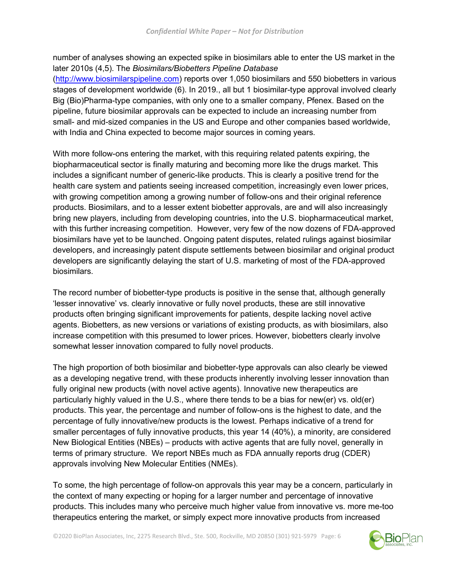number of analyses showing an expected spike in biosimilars able to enter the US market in the later 2010s (4,5). The *Biosimilars/Biobetters Pipeline Database*

[\(http://www.biosimilarspipeline.com\)](http://www.biosimilarspipeline.com/) reports over 1,050 biosimilars and 550 biobetters in various stages of development worldwide (6). In 2019., all but 1 biosimilar-type approval involved clearly Big (Bio)Pharma-type companies, with only one to a smaller company, Pfenex. Based on the pipeline, future biosimilar approvals can be expected to include an increasing number from small- and mid-sized companies in the US and Europe and other companies based worldwide, with India and China expected to become major sources in coming years.

With more follow-ons entering the market, with this requiring related patents expiring, the biopharmaceutical sector is finally maturing and becoming more like the drugs market. This includes a significant number of generic-like products. This is clearly a positive trend for the health care system and patients seeing increased competition, increasingly even lower prices, with growing competition among a growing number of follow-ons and their original reference products. Biosimilars, and to a lesser extent biobetter approvals, are and will also increasingly bring new players, including from developing countries, into the U.S. biopharmaceutical market, with this further increasing competition. However, very few of the now dozens of FDA-approved biosimilars have yet to be launched. Ongoing patent disputes, related rulings against biosimilar developers, and increasingly patent dispute settlements between biosimilar and original product developers are significantly delaying the start of U.S. marketing of most of the FDA-approved biosimilars.

The record number of biobetter-type products is positive in the sense that, although generally 'lesser innovative' vs. clearly innovative or fully novel products, these are still innovative products often bringing significant improvements for patients, despite lacking novel active agents. Biobetters, as new versions or variations of existing products, as with biosimilars, also increase competition with this presumed to lower prices. However, biobetters clearly involve somewhat lesser innovation compared to fully novel products.

The high proportion of both biosimilar and biobetter-type approvals can also clearly be viewed as a developing negative trend, with these products inherently involving lesser innovation than fully original new products (with novel active agents). Innovative new therapeutics are particularly highly valued in the U.S., where there tends to be a bias for new(er) vs. old(er) products. This year, the percentage and number of follow-ons is the highest to date, and the percentage of fully innovative/new products is the lowest. Perhaps indicative of a trend for smaller percentages of fully innovative products, this year 14 (40%), a minority, are considered New Biological Entities (NBEs) – products with active agents that are fully novel, generally in terms of primary structure. We report NBEs much as FDA annually reports drug (CDER) approvals involving New Molecular Entities (NMEs).

To some, the high percentage of follow-on approvals this year may be a concern, particularly in the context of many expecting or hoping for a larger number and percentage of innovative products. This includes many who perceive much higher value from innovative vs. more me-too therapeutics entering the market, or simply expect more innovative products from increased

©2020 BioPlan Associates, Inc, 2275 Research Blvd., Ste. 500, Rockville, MD 20850 (301) 921-5979 Page: 6